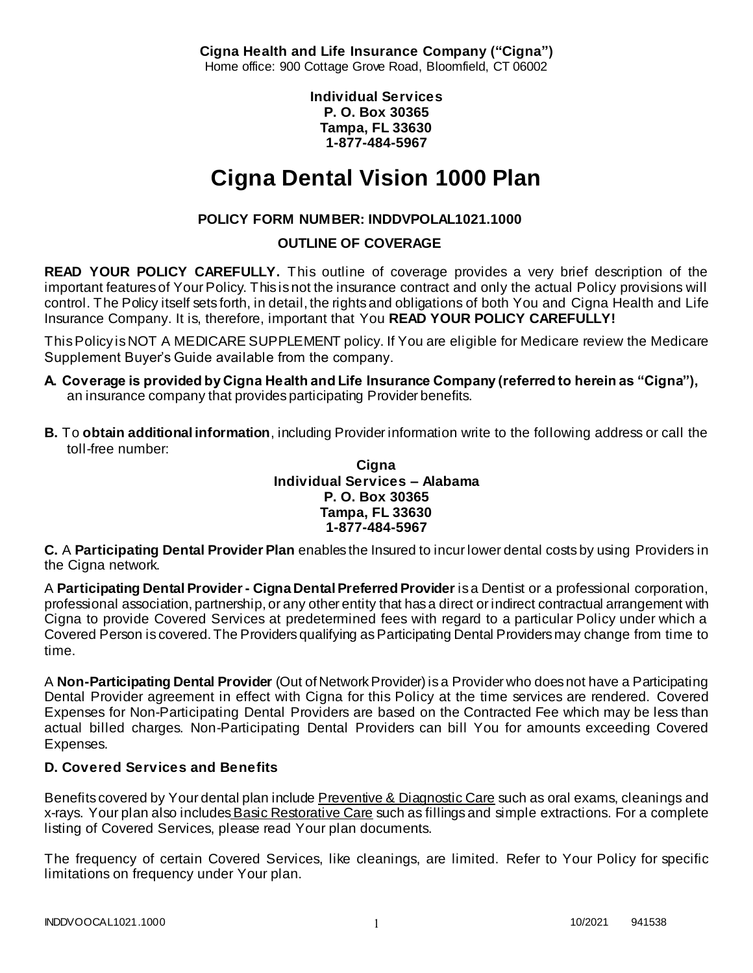**Cigna Health and Life Insurance Company ("Cigna")** Home office: 900 Cottage Grove Road, Bloomfield, CT 06002

> **Individual Services P. O. Box 30365 Tampa, FL 33630 1-877-484-5967**

# **Cigna Dental Vision 1000 Plan**

# **POLICY FORM NUMBER: INDDVPOLAL1021.1000**

# **OUTLINE OF COVERAGE**

**READ YOUR POLICY CAREFULLY.** This outline of coverage provides a very brief description of the important features of Your Policy. This is not the insurance contract and only the actual Policy provisions will control. The Policy itself sets forth, in detail, the rights and obligations of both You and Cigna Health and Life Insurance Company. It is, therefore, important that You **READ YOUR POLICY CAREFULLY!** 

This Policy is NOT A MEDICARE SUPPLEMENT policy. If You are eligible for Medicare review the Medicare Supplement Buyer's Guide available from the company.

- **A. Coverage is provided by Cigna Health and Life Insurance Company (referred to herein as "Cigna"),**  an insurance company that provides participating Provider benefits.
- **B.** To **obtain additional information**, including Provider information write to the following address or call the toll-free number:

#### **Cigna Individual Services – Alabama P. O. Box 30365 Tampa, FL 33630 1-877-484-5967**

**C.** A **Participating Dental Provider Plan** enables the Insured to incur lower dental costs by using Providers in the Cigna network.

A **Participating Dental Provider - Cigna Dental Preferred Provider** is a Dentist or a professional corporation, professional association, partnership, or any other entity that has a direct or indirect contractual arrangement with Cigna to provide Covered Services at predetermined fees with regard to a particular Policy under which a Covered Person is covered. The Providers qualifying as Participating Dental Providers may change from time to time.

A **Non-Participating Dental Provider** (Out of Network Provider) is a Provider who does not have a Participating Dental Provider agreement in effect with Cigna for this Policy at the time services are rendered. Covered Expenses for Non-Participating Dental Providers are based on the Contracted Fee which may be less than actual billed charges. Non-Participating Dental Providers can bill You for amounts exceeding Covered Expenses.

# **D. Covered Services and Benefits**

Benefits covered by Your dental plan include Preventive & Diagnostic Care such as oral exams, cleanings and x-rays. Your plan also includesBasic Restorative Care such as fillings and simple extractions. For a complete listing of Covered Services, please read Your plan documents.

The frequency of certain Covered Services, like cleanings, are limited. Refer to Your Policy for specific limitations on frequency under Your plan.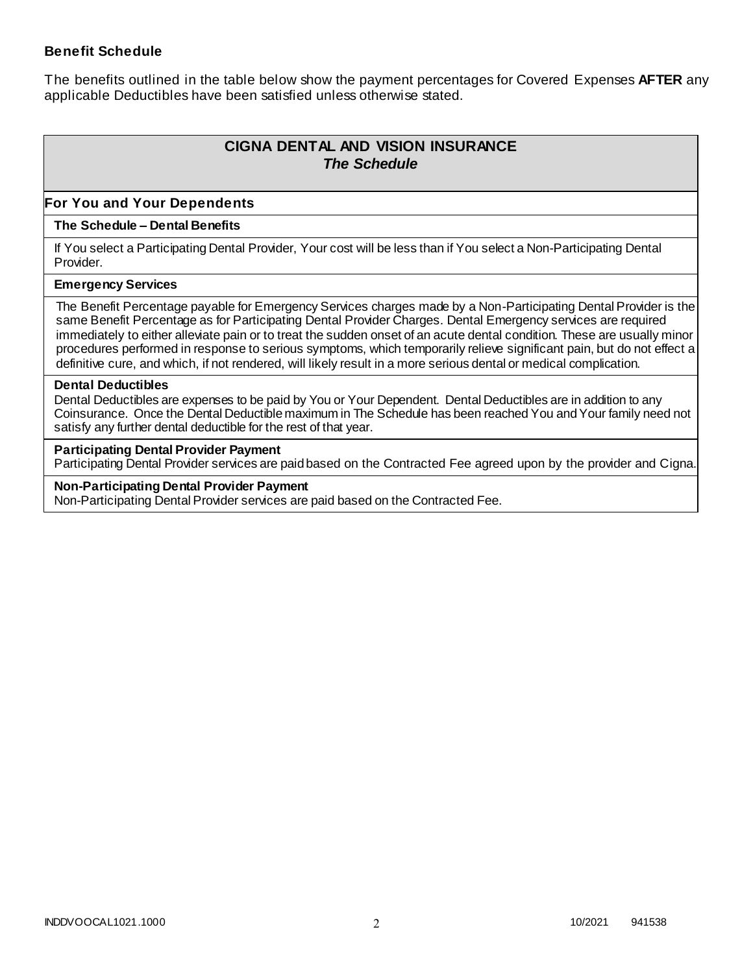#### **Benefit Schedule**

The benefits outlined in the table below show the payment percentages for Covered Expenses **AFTER** any applicable Deductibles have been satisfied unless otherwise stated.

# **CIGNA DENTAL AND VISION INSURANCE** *The Schedule*

#### **For You and Your Dependents**

#### **The Schedule – Dental Benefits**

If You select a Participating Dental Provider, Your cost will be less than if You select a Non-Participating Dental Provider.

#### **Emergency Services**

The Benefit Percentage payable for Emergency Services charges made by a Non-Participating Dental Provider is the same Benefit Percentage as for Participating Dental Provider Charges. Dental Emergency services are required immediately to either alleviate pain or to treat the sudden onset of an acute dental condition. These are usually minor procedures performed in response to serious symptoms, which temporarily relieve significant pain, but do not effect a definitive cure, and which, if not rendered, will likely result in a more serious dental or medical complication.

#### **Dental Deductibles**

Dental Deductibles are expenses to be paid by You or Your Dependent. Dental Deductibles are in addition to any Coinsurance. Once the Dental Deductible maximum in The Schedule has been reached You and Your family need not satisfy any further dental deductible for the rest of that year.

#### **Participating Dental Provider Payment**

Participating Dental Provider services are paid based on the Contracted Fee agreed upon by the provider and Cigna.

**Non-Participating Dental Provider Payment** Non-Participating Dental Provider services are paid based on the Contracted Fee.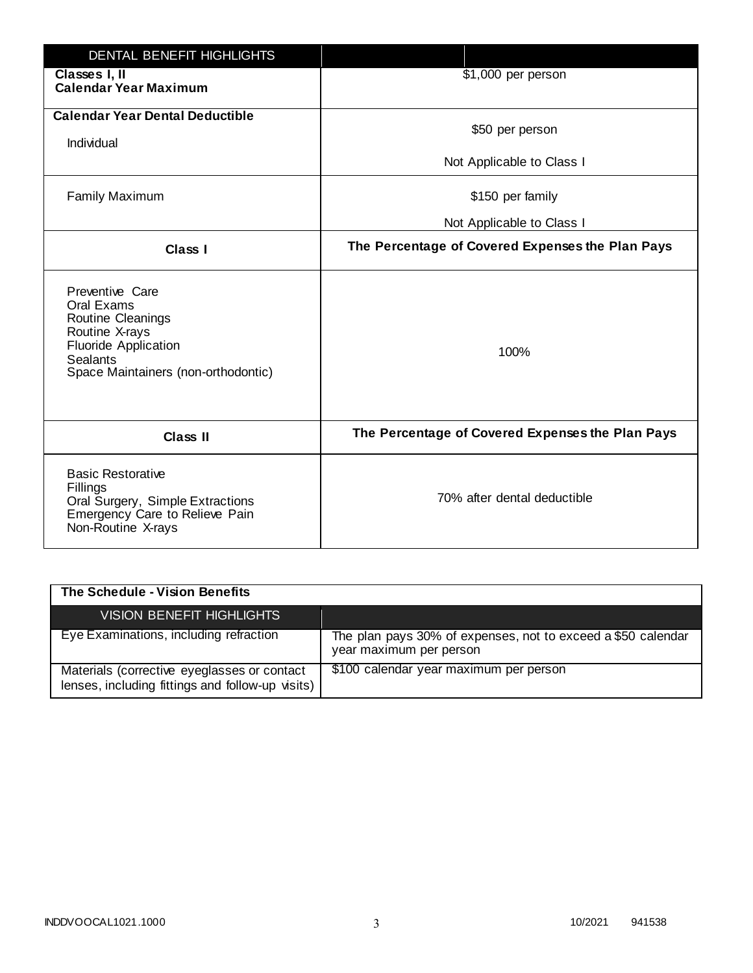| <b>DENTAL BENEFIT HIGHLIGHTS</b>                                                                                                                              |                                                  |
|---------------------------------------------------------------------------------------------------------------------------------------------------------------|--------------------------------------------------|
| Classes I, II<br><b>Calendar Year Maximum</b>                                                                                                                 | \$1,000 per person                               |
| <b>Calendar Year Dental Deductible</b><br>Individual                                                                                                          | \$50 per person                                  |
|                                                                                                                                                               | Not Applicable to Class I                        |
| <b>Family Maximum</b>                                                                                                                                         | \$150 per family                                 |
|                                                                                                                                                               | Not Applicable to Class I                        |
| <b>Class I</b>                                                                                                                                                | The Percentage of Covered Expenses the Plan Pays |
| Preventive Care<br>Oral Exams<br>Routine Cleanings<br>Routine X-rays<br><b>Fluoride Application</b><br><b>Sealants</b><br>Space Maintainers (non-orthodontic) | 100%                                             |
| <b>Class II</b>                                                                                                                                               | The Percentage of Covered Expenses the Plan Pays |
| <b>Basic Restorative</b><br>Fillings<br>Oral Surgery, Simple Extractions<br>Emergency Care to Relieve Pain<br>Non-Routine X-rays                              | 70% after dental deductible                      |

| The Schedule - Vision Benefits                                                                  |                                                                                         |
|-------------------------------------------------------------------------------------------------|-----------------------------------------------------------------------------------------|
| <b>VISION BENEFIT HIGHLIGHTS,</b>                                                               |                                                                                         |
| Eye Examinations, including refraction                                                          | The plan pays 30% of expenses, not to exceed a \$50 calendar<br>year maximum per person |
| Materials (corrective eyeglasses or contact<br>lenses, including fittings and follow-up visits) | \$100 calendar year maximum per person                                                  |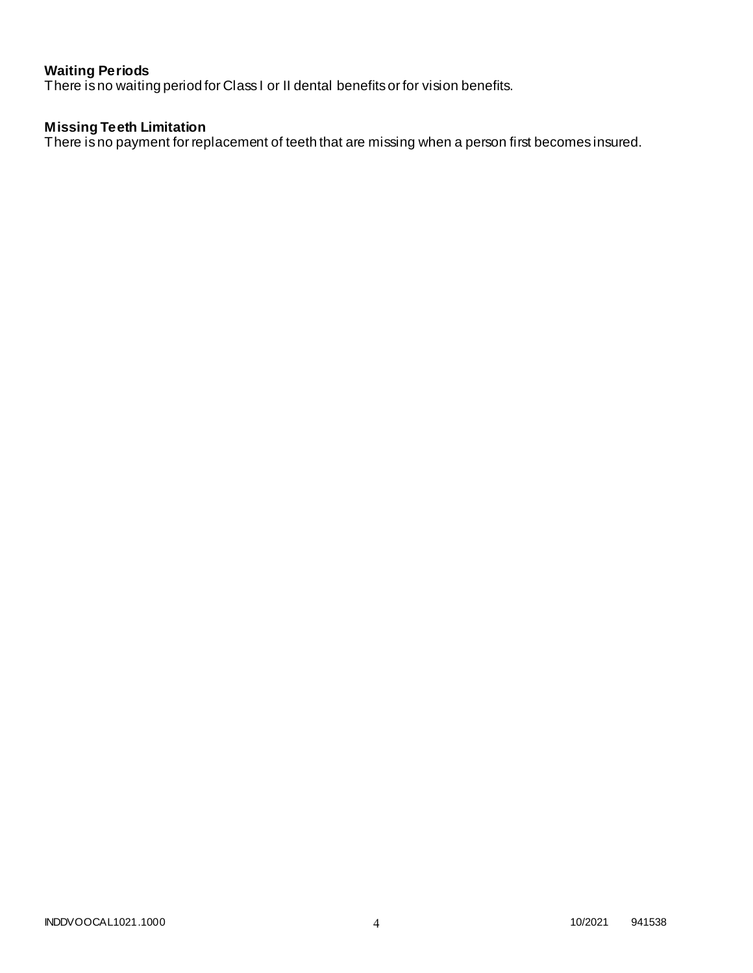# **Waiting Periods**

There is no waiting period for Class I or II dental benefits or for vision benefits.

## **Missing Teeth Limitation**

There is no payment for replacement of teeth that are missing when a person first becomes insured.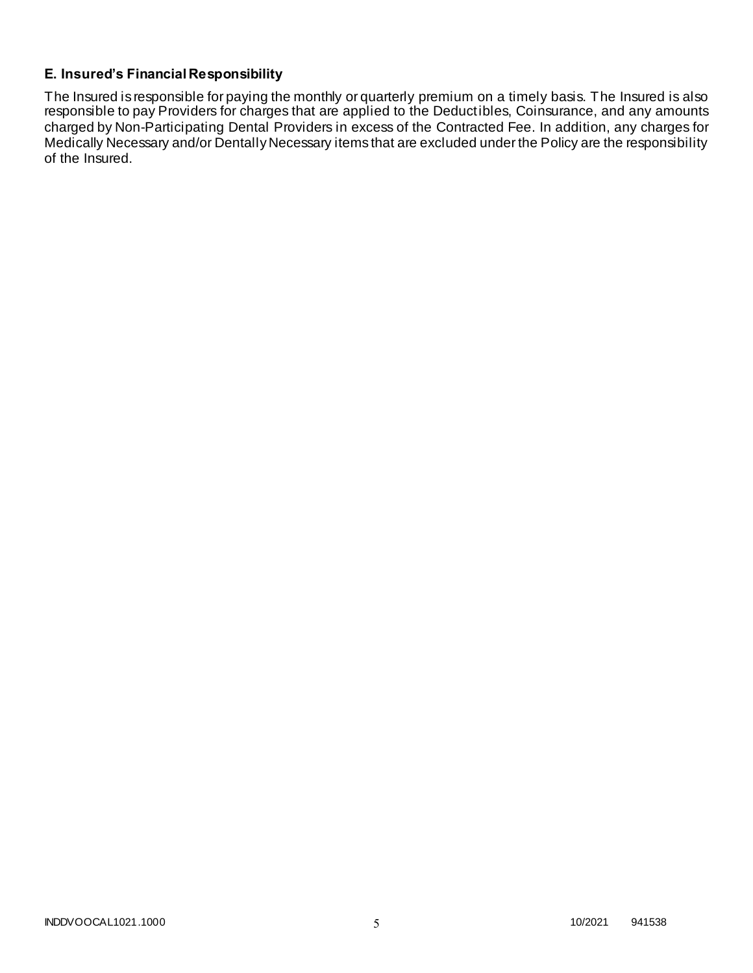# **E. Insured's Financial Responsibility**

The Insured is responsible for paying the monthly or quarterly premium on a timely basis. The Insured is also responsible to pay Providers for charges that are applied to the Deductibles, Coinsurance, and any amounts charged by Non-Participating Dental Providers in excess of the Contracted Fee. In addition, any charges for Medically Necessary and/or Dentally Necessary items that are excluded under the Policy are the responsibility of the Insured.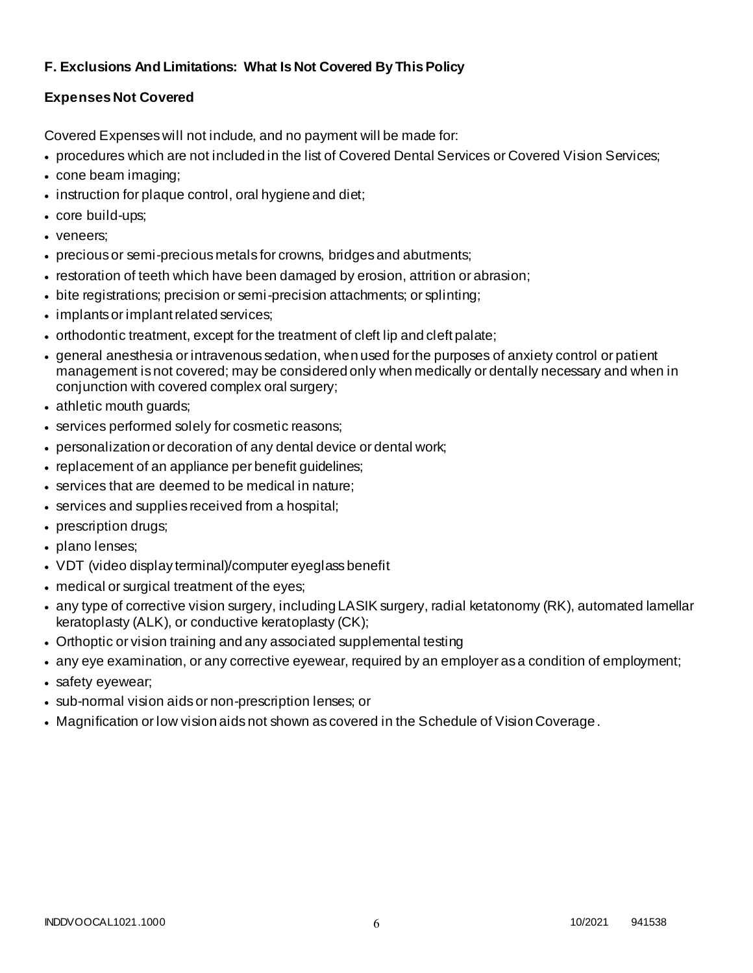# **F. Exclusions And Limitations: What Is Not Covered By This Policy**

# **Expenses Not Covered**

Covered Expenses will not include, and no payment will be made for:

- procedures which are not included in the list of Covered Dental Services or Covered Vision Services;
- cone beam imaging;
- instruction for plaque control, oral hygiene and diet;
- core build-ups;
- veneers;
- precious or semi-precious metals for crowns, bridges and abutments;
- restoration of teeth which have been damaged by erosion, attrition or abrasion;
- bite registrations; precision or semi-precision attachments; or splinting;
- implants or implant related services;
- orthodontic treatment, except for the treatment of cleft lip and cleft palate;
- general anesthesia or intravenous sedation, when used for the purposes of anxiety control or patient management is not covered; may be considered only when medically or dentally necessary and when in conjunction with covered complex oral surgery;
- athletic mouth guards;
- services performed solely for cosmetic reasons;
- personalization or decoration of any dental device or dental work;
- replacement of an appliance per benefit guidelines;
- services that are deemed to be medical in nature;
- services and supplies received from a hospital;
- prescription drugs;
- plano lenses;
- VDT (video display terminal)/computer eyeglass benefit
- medical or surgical treatment of the eyes;
- any type of corrective vision surgery, including LASIK surgery, radial ketatonomy (RK), automated lamellar keratoplasty (ALK), or conductive keratoplasty (CK);
- Orthoptic or vision training and any associated supplemental testing
- any eye examination, or any corrective eyewear, required by an employer as a condition of employment;
- safety eyewear;
- sub-normal vision aids or non-prescription lenses; or
- Magnification or low vision aids not shown as covered in the Schedule of Vision Coverage.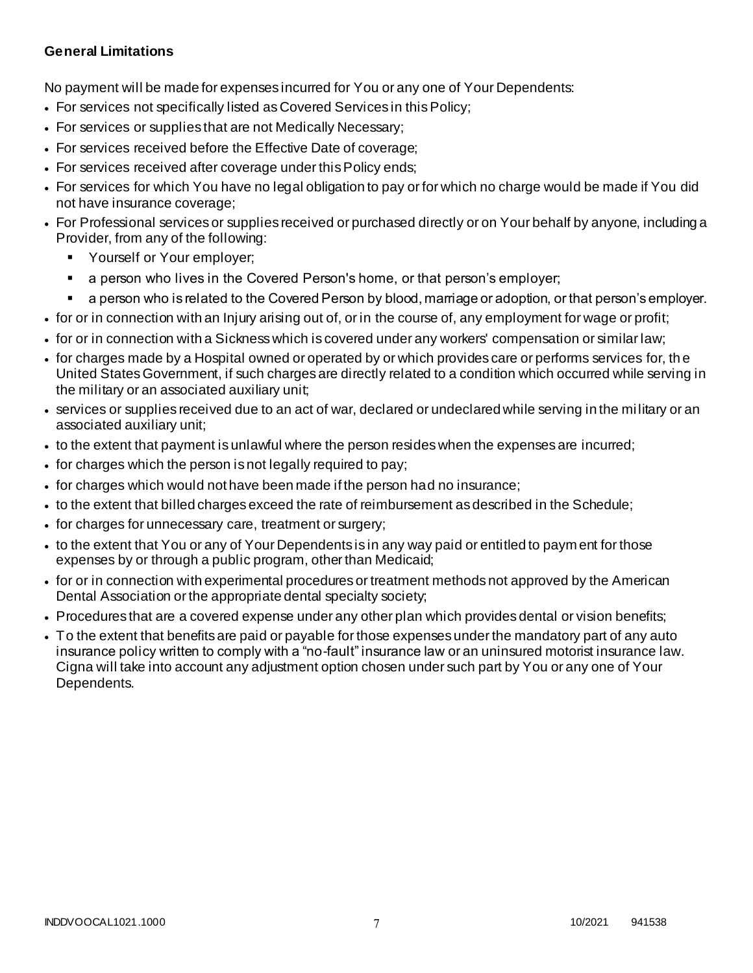## **General Limitations**

No payment will be made for expenses incurred for You or any one of Your Dependents:

- For services not specifically listed as Covered Services in this Policy;
- For services or supplies that are not Medically Necessary;
- For services received before the Effective Date of coverage;
- For services received after coverage under this Policy ends;
- For services for which You have no legal obligation to pay or for which no charge would be made if You did not have insurance coverage;
- For Professional services or supplies received or purchased directly or on Your behalf by anyone, including a Provider, from any of the following:
	- **•** Yourself or Your employer;
	- a person who lives in the Covered Person's home, or that person's employer;
	- a person who is related to the Covered Person by blood, marriage or adoption, or that person's employer.
- for or in connection with an Injury arising out of, or in the course of, any employment for wage or profit;
- for or in connection with a Sickness which is covered under any workers' compensation or similar law;
- for charges made by a Hospital owned or operated by or which provides care or performs services for, th e United States Government, if such charges are directly related to a condition which occurred while serving in the military or an associated auxiliary unit;
- services or supplies received due to an act of war, declared or undeclared while serving in the mi litary or an associated auxiliary unit;
- to the extent that payment is unlawful where the person resides when the expenses are incurred;
- for charges which the person is not legally required to pay;
- for charges which would not have been made if the person had no insurance;
- to the extent that billed charges exceed the rate of reimbursement as described in the Schedule;
- for charges for unnecessary care, treatment or surgery;
- to the extent that You or any of Your Dependents is in any way paid or entitled to paym ent for those expenses by or through a public program, other than Medicaid;
- for or in connection with experimental procedures or treatment methods not approved by the American Dental Association or the appropriate dental specialty society;
- Procedures that are a covered expense under any other plan which provides dental or vision benefits;
- To the extent that benefits are paid or payable for those expenses under the mandatory part of any auto insurance policy written to comply with a "no-fault" insurance law or an uninsured motorist insurance law. Cigna will take into account any adjustment option chosen under such part by You or any one of Your Dependents.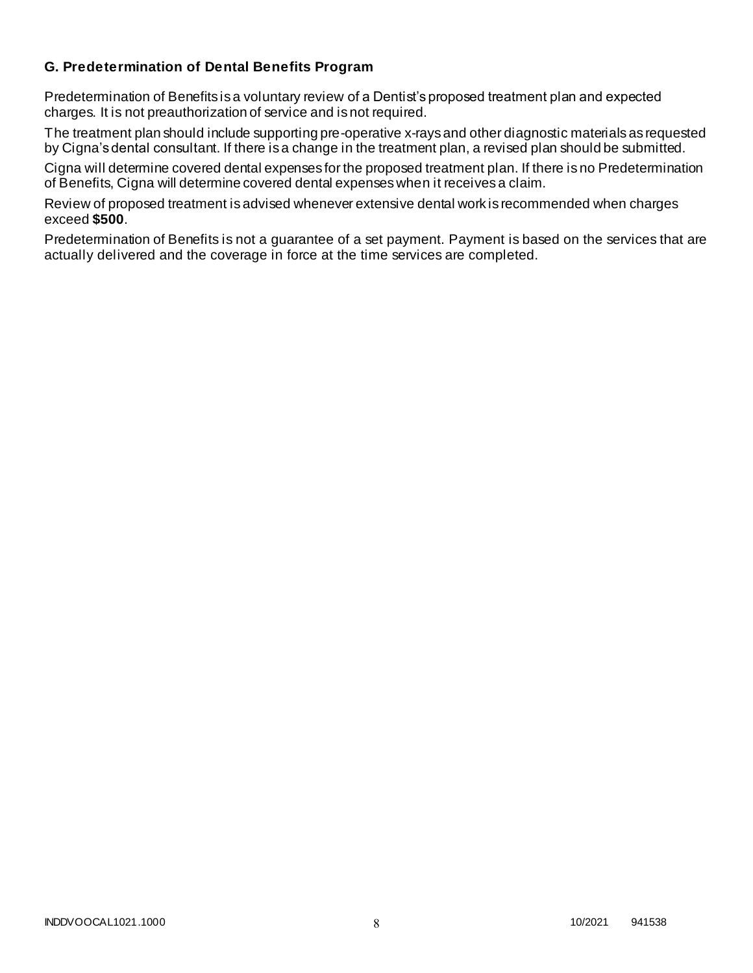## **G. Predetermination of Dental Benefits Program**

Predetermination of Benefits is a voluntary review of a Dentist's proposed treatment plan and expected charges. It is not preauthorization of service and is not required.

The treatment plan should include supporting pre-operative x-rays and other diagnostic materials as requested by Cigna's dental consultant. If there is a change in the treatment plan, a revised plan should be submitted.

Cigna will determine covered dental expenses for the proposed treatment plan. If there is no Predetermination of Benefits, Cigna will determine covered dental expenses when it receives a claim.

Review of proposed treatment is advised whenever extensive dental work is recommended when charges exceed **\$500**.

Predetermination of Benefits is not a guarantee of a set payment. Payment is based on the services that are actually delivered and the coverage in force at the time services are completed.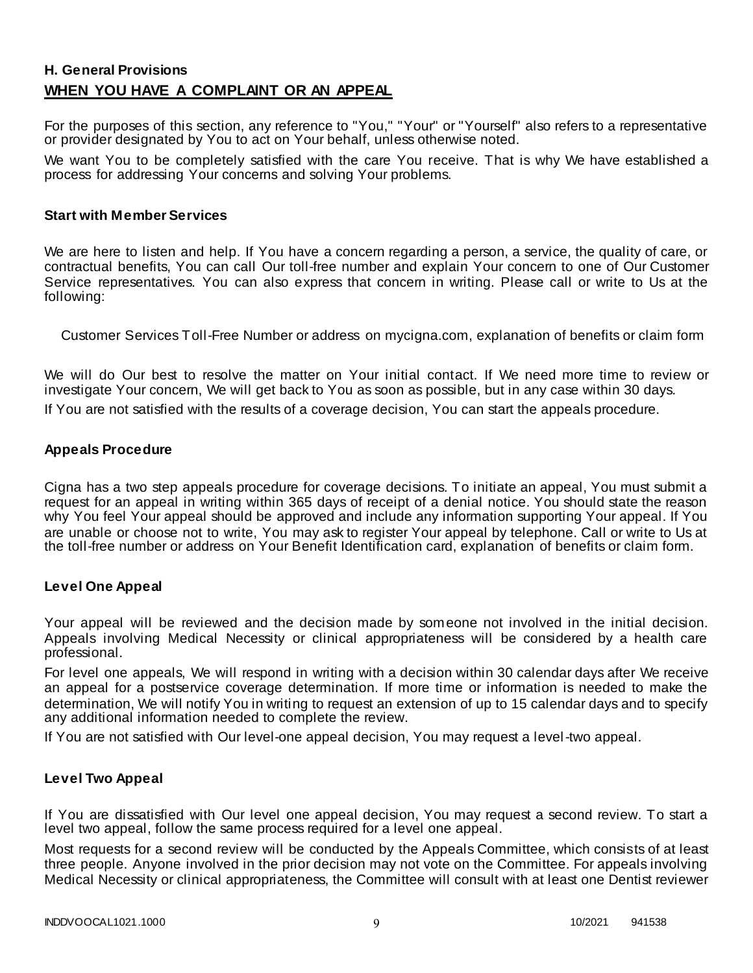# **H. General Provisions WHEN YOU HAVE A COMPLAINT OR AN APPEAL**

For the purposes of this section, any reference to "You," "Your" or "Yourself" also refers to a representative or provider designated by You to act on Your behalf, unless otherwise noted.

We want You to be completely satisfied with the care You receive. That is why We have established a process for addressing Your concerns and solving Your problems.

#### **Start with Member Services**

We are here to listen and help. If You have a concern regarding a person, a service, the quality of care, or contractual benefits, You can call Our toll-free number and explain Your concern to one of Our Customer Service representatives. You can also express that concern in writing. Please call or write to Us at the following:

Customer Services Toll-Free Number or address on mycigna.com, explanation of benefits or claim form

We will do Our best to resolve the matter on Your initial contact. If We need more time to review or investigate Your concern, We will get back to You as soon as possible, but in any case within 30 days.

If You are not satisfied with the results of a coverage decision, You can start the appeals procedure.

#### **Appeals Procedure**

Cigna has a two step appeals procedure for coverage decisions. To initiate an appeal, You must submit a request for an appeal in writing within 365 days of receipt of a denial notice. You should state the reason why You feel Your appeal should be approved and include any information supporting Your appeal. If You are unable or choose not to write, You may ask to register Your appeal by telephone. Call or write to Us at the toll-free number or address on Your Benefit Identification card, explanation of benefits or claim form.

#### **Level One Appeal**

Your appeal will be reviewed and the decision made by someone not involved in the initial decision. Appeals involving Medical Necessity or clinical appropriateness will be considered by a health care professional.

For level one appeals, We will respond in writing with a decision within 30 calendar days after We receive an appeal for a postservice coverage determination. If more time or information is needed to make the determination, We will notify You in writing to request an extension of up to 15 calendar days and to specify any additional information needed to complete the review.

If You are not satisfied with Our level-one appeal decision, You may request a level-two appeal.

#### **Level Two Appeal**

If You are dissatisfied with Our level one appeal decision, You may request a second review. To start a level two appeal, follow the same process required for a level one appeal.

Most requests for a second review will be conducted by the Appeals Committee, which consists of at least three people. Anyone involved in the prior decision may not vote on the Committee. For appeals involving Medical Necessity or clinical appropriateness, the Committee will consult with at least one Dentist reviewer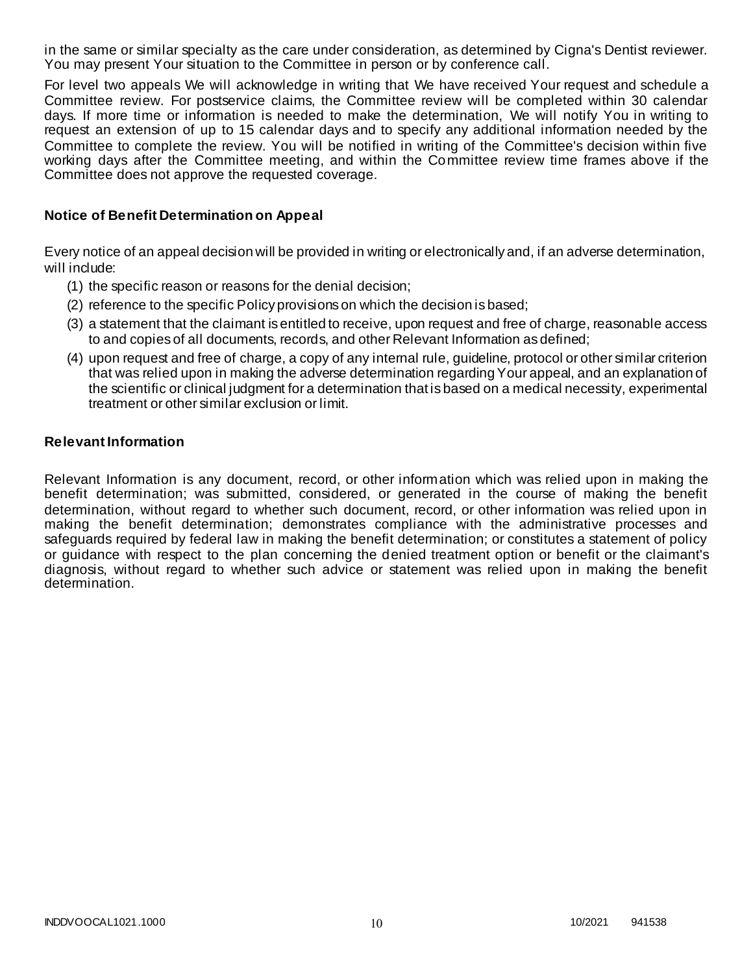in the same or similar specialty as the care under consideration, as determined by Cigna's Dentist reviewer. You may present Your situation to the Committee in person or by conference call.

For level two appeals We will acknowledge in writing that We have received Your request and schedule a Committee review. For postservice claims, the Committee review will be completed within 30 calendar days. If more time or information is needed to make the determination, We will notify You in writing to request an extension of up to 15 calendar days and to specify any additional information needed by the Committee to complete the review. You will be notified in writing of the Committee's decision within five working days after the Committee meeting, and within the Committee review time frames above if the Committee does not approve the requested coverage.

#### **Notice of Benefit Determination on Appeal**

Every notice of an appeal decision will be provided in writing or electronically and, if an adverse determination, will include:

- (1) the specific reason or reasons for the denial decision;
- (2) reference to the specific Policy provisions on which the decision is based;
- (3) a statement that the claimant is entitled to receive, upon request and free of charge, reasonable access to and copies of all documents, records, and other Relevant Information as defined;
- (4) upon request and free of charge, a copy of any internal rule, guideline, protocol or other similar criterion that was relied upon in making the adverse determination regarding Your appeal, and an explanation of the scientific or clinical judgment for a determination that is based on a medical necessity, experimental treatment or other similar exclusion or limit.

#### **Relevant Information**

Relevant Information is any document, record, or other information which was relied upon in making the benefit determination; was submitted, considered, or generated in the course of making the benefit determination, without regard to whether such document, record, or other information was relied upon in making the benefit determination; demonstrates compliance with the administrative processes and safeguards required by federal law in making the benefit determination; or constitutes a statement of policy or guidance with respect to the plan concerning the denied treatment option or benefit or the claimant's diagnosis, without regard to whether such advice or statement was relied upon in making the benefit determination.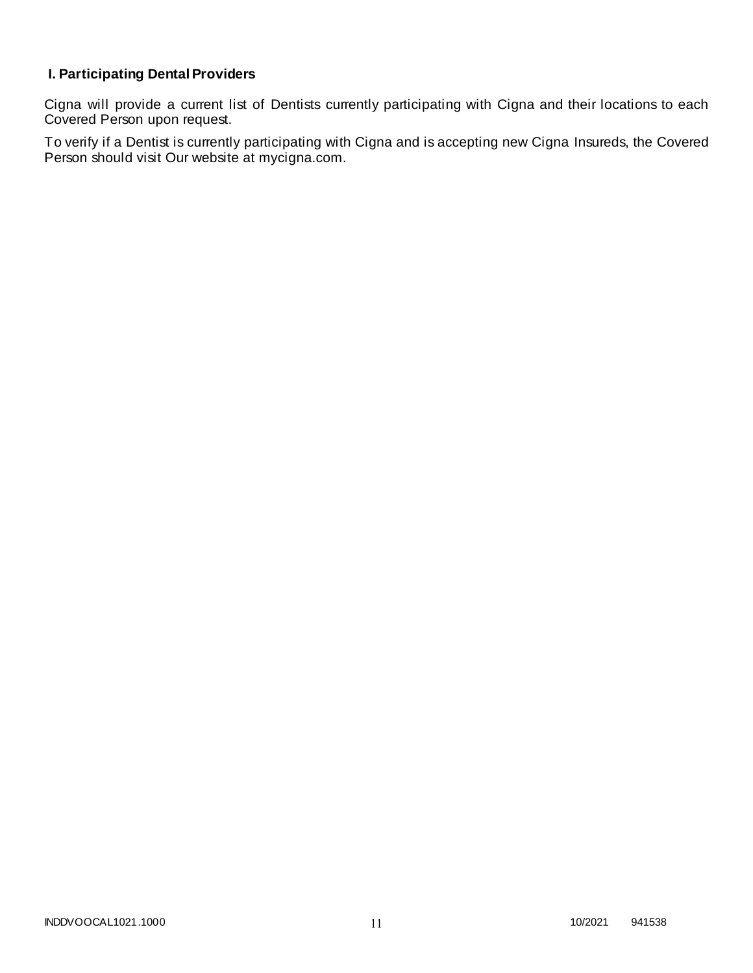# **I. Participating Dental Providers**

Cigna will provide a current list of Dentists currently participating with Cigna and their locations to each Covered Person upon request.

To verify if a Dentist is currently participating with Cigna and is accepting new Cigna Insureds, the Covered Person should visit Our website at mycigna.com.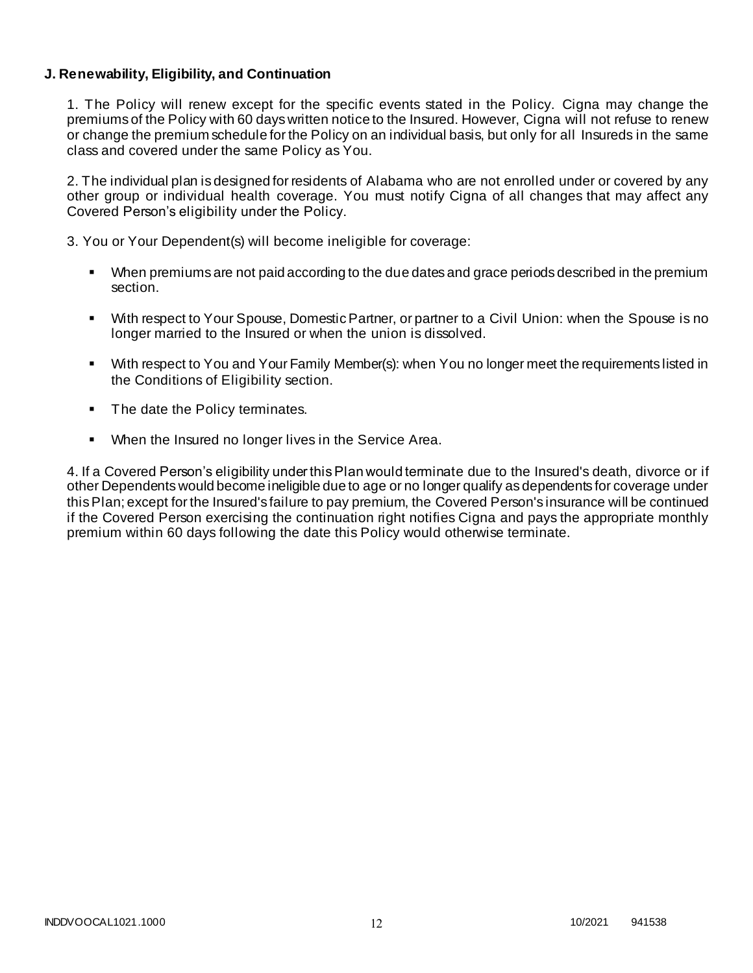#### **J. Renewability, Eligibility, and Continuation**

1. The Policy will renew except for the specific events stated in the Policy. Cigna may change the premiums of the Policy with 60 days written notice to the Insured. However, Cigna will not refuse to renew or change the premium schedule for the Policy on an individual basis, but only for all Insureds in the same class and covered under the same Policy as You.

2. The individual plan is designed for residents of Alabama who are not enrolled under or covered by any other group or individual health coverage. You must notify Cigna of all changes that may affect any Covered Person's eligibility under the Policy.

3. You or Your Dependent(s) will become ineligible for coverage:

- When premiums are not paid according to the due dates and grace periods described in the premium section.
- With respect to Your Spouse, Domestic Partner, or partner to a Civil Union: when the Spouse is no longer married to the Insured or when the union is dissolved.
- With respect to You and Your Family Member(s): when You no longer meet the requirements listed in the Conditions of Eligibility section.
- The date the Policy terminates.
- **When the Insured no longer lives in the Service Area.**

4. If a Covered Person's eligibility under this Plan would terminate due to the Insured's death, divorce or if other Dependents would become ineligible due to age or no longer qualify as dependents for coverage under this Plan; except for the Insured's failure to pay premium, the Covered Person's insurance will be continued if the Covered Person exercising the continuation right notifies Cigna and pays the appropriate monthly premium within 60 days following the date this Policy would otherwise terminate.